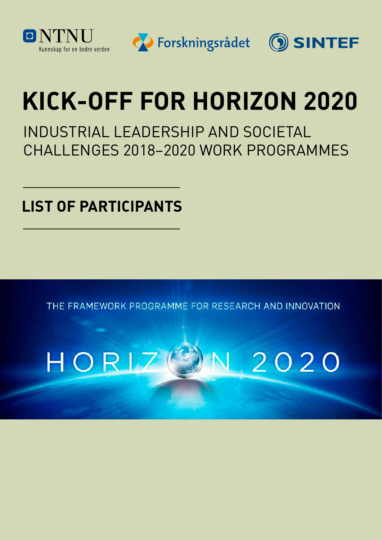

SINTEF



## **KICK-OFF FOR HORIZON 2020**

INDUSTRIAL LEADERSHIP AND SOCIETAL CHALLENGES 2018–2020 WORK PROGRAMMES

**LIST OF PARTICIPANTS**

THE FRAMEWORK PROGRAMME FOR RESEARCH AND INNOVATION

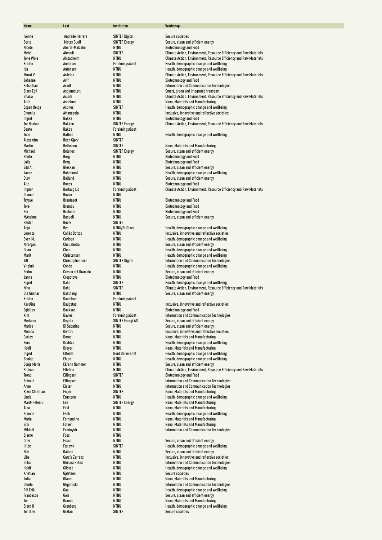| Name                        | Last                           | <b>Institution</b>                            | Workshop:                                                                                                      |
|-----------------------------|--------------------------------|-----------------------------------------------|----------------------------------------------------------------------------------------------------------------|
|                             |                                |                                               |                                                                                                                |
| Ivonne<br>Berta             | Andrade Herrera<br>Matas Güell | <b>SINTEF Digital</b><br><b>SINTEF Energy</b> | <b>Secure societies</b><br>Secure, clean and efficient energy                                                  |
| Nicole                      | Aberle-Malzahn                 | <b>NTNU</b>                                   | <b>Biotechnology and Food</b>                                                                                  |
| Mehdi                       | Ahmadi                         | <b>SINTEF</b>                                 | Climate Action, Environment, Resource Efficiency and Raw Materials                                             |
| <b>Tone Woie</b>            | Alstadheim                     | <b>NTNU</b>                                   | Climate Action, Environment, Resource Efficiency and Raw Materials                                             |
| Kristin                     | Andersen                       | Forskningsrådet                               | Health, demographic change and wellbeing                                                                       |
| Ida<br>Murat V.             | Antonsen<br>Ardelan            | <b>NTNU</b><br>NTNU                           | Health, demographic change and wellbeing<br>Climate Action, Environment, Resource Efficiency and Raw Materials |
| Johanne                     | Arff                           | <b>NTNU</b>                                   | <b>Biotechnology and Food</b>                                                                                  |
| Sebastian                   | Arndt                          | <b>NTNU</b>                                   | Information and Communication Technologies                                                                     |
| <b>Bjørn Egil</b>           | Asbjørnslett                   | <b>NTNU</b>                                   | Smart, green and integrated transport                                                                          |
| Shazia                      | Aslam                          | <b>NTNU</b>                                   | Climate Action, Environment, Resource Efficiency and Raw Materials                                             |
| Arild<br><b>Espen Helge</b> | Aspelund<br><b>Aspnes</b>      | <b>NTNU</b><br><b>SINTEF</b>                  | Nano, Materials and Manufacturing<br>Health, demographic change and wellbeing                                  |
| Chamila                     | Attanapola                     | NTNU                                          | Inclusive, innovative and reflective societies                                                                 |
| Ingrid                      | <b>Bakke</b>                   | <b>NTNU</b>                                   | <b>Biotechnology and Food</b>                                                                                  |
| <b>Tor Haakon</b>           | Bakken                         | <b>SINTEF Energy</b>                          | Climate Action, Environment, Resource Efficiency and Raw Materials                                             |
| Bente                       | <b>Bakos</b>                   | Forskningsrådet                               |                                                                                                                |
| Tone<br>Alexandra           | <b>Bathen</b><br>Bech Gjørv    | NTNU<br><b>SINTEF</b>                         | Health, demographic change and wellbeing                                                                       |
| Martin                      | Bellmann                       | <b>SINTEF</b>                                 | Nano, Materials and Manufacturing                                                                              |
| Michael                     | <b>Belsnes</b>                 | <b>SINTEF Energy</b>                          | Secure, clean and efficient energy                                                                             |
| Bente                       | Berg                           | NTNU                                          | <b>Biotechnology and Food</b>                                                                                  |
| Laila                       | Berg                           | <b>NTNU</b>                                   | <b>Biotechnology and Food</b>                                                                                  |
| Edd A.                      | Blekkan                        | <b>NTNU</b>                                   | Secure, clean and efficient energy                                                                             |
| Janne<br>Olav               | Bohnhorst<br>Bolland           | NTNU<br><b>NTNU</b>                           | Health, demographic change and wellbeing<br>Secure, clean and efficient energy                                 |
| Atle                        | Bones                          | <b>NTNU</b>                                   | <b>Biotechnology and Food</b>                                                                                  |
| Ingunn                      | <b>Borlaug Lid</b>             | Forskningsrådet                               | Climate Action, Environment, Resource Efficiency and Raw Materials                                             |
| Gunnar                      | Bovim                          | NTNU                                          |                                                                                                                |
| Trygve                      | <b>Brautaset</b>               | <b>NTNU</b>                                   | <b>Biotechnology and Food</b>                                                                                  |
| Tore                        | Brembu                         | <b>NTNU</b><br><b>NTNU</b>                    | <b>Biotechnology and Food</b>                                                                                  |
| Per<br><b>MAssimo</b>       | <b>Bruheim</b><br>Busuoli      | <b>NTNU</b>                                   | <b>Biotechnology and Food</b><br>Secure, clean and efficient energy                                            |
| Reidar                      | Buvik                          | <b>SINTEF</b>                                 |                                                                                                                |
| Anja                        | Bye                            | NTNU/St.Olavs                                 | Health, demographic change and wellbeing                                                                       |
| Lorenzo                     | Cañás Bottos                   | <b>NTNU</b>                                   | Inclusive, innovative and reflective societies                                                                 |
| Sven M.                     | Carlsen<br>Challabotla         | <b>NTNU</b><br><b>NTNU</b>                    | Health, demographic change and wellbeing                                                                       |
| Niranjan<br>Duan            | Chen                           | <b>NTNU</b>                                   | Secure, clean and efficient energy<br>Health, demographic change and wellbeing                                 |
| Marit                       | Christensen                    | NTNU                                          | Health, demographic change and wellbeing                                                                       |
| Till                        | <b>Christopher Lech</b>        | <b>SINTEF Digital</b>                         | Information and Communication Technologies                                                                     |
| Virginia                    | Conde                          | <b>NTNU</b>                                   | Health, demographic change and wellbeing                                                                       |
| Pedro                       | Crespo del Granado             | <b>NTNU</b>                                   | Secure, clean and efficient energy                                                                             |
| Janna<br>Sigrid             | Cropotova<br>Dahl              | NTNU<br>SINTEF                                | <b>Biotechnology and Food</b><br>Health, demographic change and wellbeing                                      |
| Nina                        | Dahl                           | SINTEF                                        | Climate Action, Environment, Resource Efficiency and Raw Materials                                             |
| Ole Gunnar                  | Dahlhaug                       | <b>NTNU</b>                                   | Secure, clean and efficient energy                                                                             |
| Kristin                     | Danielsen                      | Forskningsrådet                               |                                                                                                                |
| Karoline                    | Daugstad                       | <b>NTNU</b><br><b>NTNU</b>                    | Inclusive, innovative and reflective societies                                                                 |
| Egidijus<br>Kim             | Dauksas<br>Davies              | Forskningsrådet                               | Biotechnology and Food<br>Information and Communication Technologies                                           |
| Merkebu                     | Degefa                         | <b>SINTEF Energi AS</b>                       | Secure, clean and efficient energy                                                                             |
| Marisa                      | Di Sabatino                    | <b>NTNU</b>                                   | Secure, clean and efficient energy                                                                             |
| Monica                      | Divitini                       | NTNU                                          | Inclusive, innovative and reflective societies                                                                 |
| Carlos                      | Dorao                          | NTNU                                          | Nano, Materials and Manufacturing                                                                              |
| Finn<br>Heidi               | <b>Drabløs</b><br>Dreyer       | <b>NTNU</b><br>NTNU                           | Health, demographic change and wellbeing<br>Nano, Materials and Manufacturing                                  |
| Ingrid                      | Eftedal                        | <b>Nord Universitet</b>                       | Health, demographic change and wellbeing                                                                       |
| Boukje                      | Ehlen                          | <b>NTNU</b>                                   | Health, demographic change and wellbeing                                                                       |
| Sonja Marie                 | <b>Ekrann Hammer</b>           | NTNU                                          | Secure, clean and efficient energy                                                                             |
| Steinar                     | Ellefmo                        | NTNU<br><b>SINTEF</b>                         | Climate Action, Environment, Resource Efficiency and Raw Materials<br><b>Biotechnology and Food</b>            |
| Trond<br>Reinold            | Ellingsen<br>Ellingsen         | NTNU                                          | Information and Communication Technologies                                                                     |
| Anne                        | Elster                         | NTNU                                          | Information and Communication Technologies                                                                     |
| <b>Bjørn Christian</b>      | Enger                          | <b>SINTEF</b>                                 | Nano, Materials and Manufacturing                                                                              |
| Linda                       | Ernstsen                       | NTNU                                          | Health, demographic change and wellbeing                                                                       |
| Marit-Helen G.<br>Alaa      | Ese<br>Faid                    | <b>SINTEF Energy</b><br>NTNU                  | Nano, Materials and Manufacturing<br>Nano, Materials and Manufacturing                                         |
| Simone                      | Fenk                           | NTNU                                          | Health, demographic change and wellbeing                                                                       |
| Maria                       | Fernandino                     | NTNU                                          | Nano, Materials and Manufacturing                                                                              |
| Erik                        | Folven                         | NTNU                                          | Nano, Materials and Manufacturing                                                                              |
| Mikhail                     | Fominykh                       | NTNU                                          | Information and Communication Technologies                                                                     |
| Bjarne<br>Olav              | Foss<br>Fosso                  | NTNU<br>NTNU                                  | Secure, clean and efficient energy                                                                             |
| Hilde                       | Færevik                        | <b>SINTEF</b>                                 | Health, demographic change and wellbeing                                                                       |
| Niki                        | Gaitani                        | NTNU                                          | Secure, clean and efficient energy                                                                             |
| Libe                        | García Zarranz                 | NTNU                                          | Inclusive, innovative and reflective societies                                                                 |
| Golsa                       | Ghiaasi Hafezi                 | NTNU                                          | <b>Information and Communication Technologies</b>                                                              |
| Heidi                       | Gilstad                        | NTNU                                          | Health, demographic change and wellbeing                                                                       |
| Kristian<br>Julia           | Gjøsteen<br>Glaum              | NTNU<br>NTNU                                  | <b>Secure societies</b><br>Nano, Materials and Manufacturing                                                   |
| Danilo                      | Gligoroski                     | NTNU                                          | Information and Communication Technologies                                                                     |
| Pål Erik                    | Goa                            | NTNU                                          | Health, demographic change and wellbeing                                                                       |
| Francesco                   | Goia                           | NTNU                                          | Secure, clean and efficient energy                                                                             |
| Tor                         | Grande                         | NTNU                                          | Nano, Materials and Manufacturing                                                                              |
| Bjørn H<br>Tor Olav         | Grønberg<br>Grøtan             | NTNU<br><b>SINTEF</b>                         | Health, demographic change and wellbeing<br><b>Secure societies</b>                                            |
|                             |                                |                                               |                                                                                                                |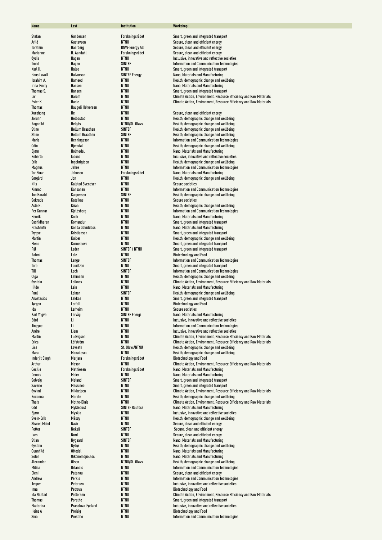| <b>Name</b>                   | Last                    | Institution                    | Workshop:                                                                                                      |
|-------------------------------|-------------------------|--------------------------------|----------------------------------------------------------------------------------------------------------------|
| Stefan                        | Gundersen               | Forskningsrådet                | Smart, green and integrated transport                                                                          |
| Arild                         | Gustavsen               | <b>NTNU</b>                    | Secure, clean and efficient energy                                                                             |
| Torstein                      | Haarberg                | <b>BNW-Energy AS</b>           | Secure, clean and efficient energy                                                                             |
| Marianne                      | H. Aandahl              | Forskningsrådet                | Secure, clean and efficient energy                                                                             |
| Øydis                         | Hagen                   | <b>NTNU</b>                    | Inclusive, innovative and reflective societies                                                                 |
| Trond                         | Hagen                   | <b>SINTEF</b>                  | Information and Communication Technologies                                                                     |
| Karl H.                       | Halse                   | <b>NTNU</b>                    | Smart, green and integrated transport                                                                          |
| Hans Lavoll                   | Halvorson               | <b>SINTEF Energy</b>           | Nano, Materials and Manufacturing                                                                              |
| Ibrahim A.                    | Hameed                  | <b>NTNU</b>                    | Health, demographic change and wellbeing                                                                       |
| Irina-Emily                   | Hansen                  | <b>NTNU</b>                    | Nano, Materials and Manufacturing                                                                              |
| Thomas S.                     | Hansen                  | <b>NTNU</b>                    | Smart, green and integrated transport                                                                          |
| Liv                           | Haram                   | <b>NTNU</b>                    | Climate Action, Environment, Resource Efficiency and Raw Materials                                             |
| Ester K<br><b>Thomas</b>      | Hasle                   | <b>NTNU</b>                    | Climate Action, Environment, Resource Efficiency and Raw Materials                                             |
| Xuezhong                      | Haugeli Halvorsen<br>He | NTNU<br><b>NTNU</b>            | Secure, clean and efficient energy                                                                             |
| Jorunn                        | Helbostad               | <b>NTNU</b>                    | Health, demographic change and wellbeing                                                                       |
| Ragnhild                      | Helgås                  | NTNU/St. Olavs                 | Health, demographic change and wellbeing                                                                       |
| <b>Stine</b>                  | <b>Hellum Braathen</b>  | <b>SINTEF</b>                  | Health, demographic change and wellbeing                                                                       |
| <b>Stine</b>                  | <b>Hellum Braathen</b>  | <b>SINTEF</b>                  | Health, demographic change and wellbeing                                                                       |
| Maria                         | Henningsson             | <b>NTNU</b>                    | Information and Communication Technologies                                                                     |
| Odin                          | Hjemdal                 | NTNU                           | Health, demographic change and wellbeing                                                                       |
| Bjørn                         | Holmedal                | <b>NTNU</b>                    | Nano, Materials and Manufacturing                                                                              |
| Roberto                       | lacono                  | <b>NTNU</b>                    | Inclusive, innovative and reflective societies                                                                 |
| Erik                          | Ingebrigtsen            | <b>NTNU</b>                    | Health, demographic change and wellbeing                                                                       |
| Magnus                        | Jahre                   | <b>NTNU</b>                    | <b>Information and Communication Technologies</b>                                                              |
| <b>Tor Einar</b>              | Johnsen                 | Forskningsrådet                | Nano, Materials and Manufacturing                                                                              |
| Sørgård                       | Jon                     | <b>NTNU</b>                    | Health, demographic change and wellbeing                                                                       |
| Nils                          | <b>Kalstad Svendsen</b> | NTNU                           | <b>Secure societies</b>                                                                                        |
| Kimmo                         | Kansanen                | NTNU                           | Information and Communication Technologies                                                                     |
| Jon Harald<br><b>Sokratis</b> | Kaspersen               | <b>SINTEF</b><br><b>NTNU</b>   | Health, demographic change and wellbeing<br><b>Secure societies</b>                                            |
| Asle H.                       | Katsikas<br>Kiran       | <b>NTNU</b>                    | Health, demographic change and wellbeing                                                                       |
| Per Gunnar                    | Kjeldsberg              | <b>NTNU</b>                    | Information and Communication Technologies                                                                     |
| Henrik                        | Koch                    | <b>NTNU</b>                    | Nano, Materials and Manufacturing                                                                              |
| Sashidharan                   | Komandur                | <b>NTNU</b>                    | Smart, green and integrated transport                                                                          |
| Prashanth                     | Konda Gokuldoss         | <b>NTNU</b>                    | Nano, Materials and Manufacturing                                                                              |
| <b>Trygve</b>                 | Kristiansen             | <b>NTNU</b>                    | Smart, green and integrated transport                                                                          |
| Martin                        | Kuiper                  | <b>NTNU</b>                    | Health, demographic change and wellbeing                                                                       |
| Elena                         | Kuznetsova              | <b>NTNU</b>                    | Smart, green and integrated transport                                                                          |
| Pål                           | Lader                   | SINTEF / NTNU                  | Smart, green and integrated transport                                                                          |
| Rahmi                         | Lale                    | <b>NTNU</b>                    | <b>Biotechnology and Food</b>                                                                                  |
| <b>Thomas</b>                 | Langø                   | <b>SINTEF</b>                  | Information and Communication Technologies                                                                     |
| Tore                          | Lauritzen               | <b>NTNU</b>                    | Smart, green and integrated transport                                                                          |
| Till                          | Lech                    | <b>SINTEF</b><br><b>NTNU</b>   | Information and Communication Technologies                                                                     |
| Olga<br>Øystein               | Lehmann<br>Leiknes      | <b>NTNU</b>                    | Health, demographic change and wellbeing<br>Climate Action, Environment, Resource Efficiency and Raw Materials |
| Hilde                         | Lein                    | NTNU                           | Nano, Materials and Manufacturing                                                                              |
| Paul                          | Leinan                  | <b>SINTEF</b>                  | Health, demographic change and wellbeing                                                                       |
| <b>Anastasios</b>             | Lekkas                  | <b>NTNU</b>                    | Smart, green and integrated transport                                                                          |
| Jørgen                        | Lerfall                 | <b>NTNU</b>                    | <b>Biotechnology and Food</b>                                                                                  |
| Ida                           | Lerheim                 | NTNU                           | <b>Secure societies</b>                                                                                        |
| Karl Yngve                    | Lervåg                  | <b>SINTEF Energi</b>           | Nano, Materials and Manufacturing                                                                              |
| Bård                          | Li                      | NTNU                           | Inclusive, innovative and reflective societies                                                                 |
| Jingyue                       | Li                      | NTNU                           | Information and Communication Technologies                                                                     |
| Andre                         | Liem                    | NTNU                           | Inclusive, innovative and reflective societies                                                                 |
| Martin                        | Ludvigsen               | NTNU                           | Climate Action, Environment, Resource Efficiency and Raw Materials                                             |
| Erica                         | Löfström                | NTNU                           | Climate Action, Environment, Resource Efficiency and Raw Materials                                             |
| Lise                          | Løvseth                 | St. Olavs/NTNU                 | Health, demographic change and wellbeing                                                                       |
| Mara<br><b>Inderjit Singh</b> | Manailescu<br>Marjara   | <b>NTNU</b><br>Forskningsrådet | Health, demographic change and wellbeing<br><b>Biotechnology and Food</b>                                      |
| Arthur                        | Mason                   | <b>NTNU</b>                    | Climate Action, Environment, Resource Efficiency and Raw Materials                                             |
| Cecilie                       | Mathiesen               | Forskningsrådet                | Nano, Materials and Manufacturing                                                                              |
| Dennis                        | Meier                   | <b>NTNU</b>                    | Nano, Materials and Manufacturing                                                                              |
| Solveig                       | Meland                  | <b>SINTEF</b>                  | Smart, green and integrated transport                                                                          |
| Saverio                       | Messineo                | NTNU                           | Smart, green and integrated transport                                                                          |
| Øyvind                        | Mikkelsen               | NTNU                           | Climate Action, Environment, Resource Efficiency and Raw Materials                                             |
| Roxanna                       | Morote                  | NTNU                           | Health, demographic change and wellbeing                                                                       |
| Thais                         | Mothe-Diniz             | NTNU                           | Climate Action, Environment, Resource Efficiency and Raw Materials                                             |
| <b>Odd</b>                    | Myklebust               | <b>SINTEF Raufoss</b>          | Nano, Materials and Manufacturing                                                                              |
| Bjørn                         | Myskja                  | <b>NTNU</b>                    | Inclusive, innovative and reflective societies                                                                 |
| Svein-Erik                    | Måsøy                   | NTNU                           | Health, demographic change and wellbeing                                                                       |
| <b>Shareg Mohd</b>            | Nazir                   | NTNU                           | Secure, clean and efficient energy                                                                             |
| Petter<br>Lars                | Nekså<br>Nord           | <b>SINTEF</b><br>NTNU          | Secure, clean and efficient energy<br>Secure, clean and efficient energy                                       |
| Stian                         | Nygaard                 | <b>SINTEF</b>                  | Nano, Materials and Manufacturing                                                                              |
| Øystein                       | Nytrø                   | NTNU                           | Health, demographic change and wellbeing                                                                       |
| Gunnhild                      | Oftedal                 | NTNU                           | Nano, Materials and Manufacturing                                                                              |
| Solon                         | Oikonomopoulos          | NTNU                           | Nano, Materials and Manufacturing                                                                              |
| Alexander                     | Olsen                   | NTNU/St. Olavs                 | Health, demographic change and wellbeing                                                                       |
| Milica                        | Orlandic                | NTNU                           | Information and Communication Technologies                                                                     |
| Eleni                         | Patanou                 | <b>NTNU</b>                    | Secure, clean and efficient energy                                                                             |
| Andrew                        | Perkis                  | NTNU                           | Information and Communication Technologies                                                                     |
| Jesper                        | Petersen                | NTNU                           | Inclusive, innovative and reflective societies                                                                 |
| Inna                          | Petrova                 | NTNU                           | <b>Biotechnology and Food</b>                                                                                  |
| <b>Ida Nilstad</b>            | Pettersen               | NTNU                           | Climate Action, Environment, Resource Efficiency and Raw Materials                                             |
| <b>Thomas</b>                 | Porathe                 | NTNU                           | Smart, green and integrated transport                                                                          |
| Ekaterina                     | Prasolova-Førland       | NTNU                           | Inclusive, innovative and reflective societies                                                                 |
| Heinz A<br>Sina               | Preisig<br>Prestmo      | NTNU<br>NTNU                   | <b>Biotechnology and Food</b><br>Information and Communication Technologies                                    |
|                               |                         |                                |                                                                                                                |